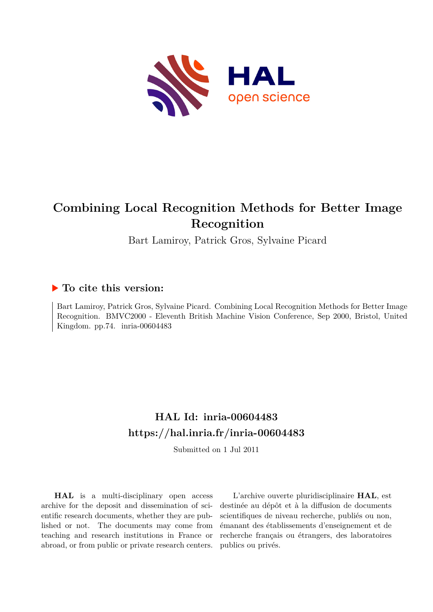

# **Combining Local Recognition Methods for Better Image Recognition**

Bart Lamiroy, Patrick Gros, Sylvaine Picard

## **To cite this version:**

Bart Lamiroy, Patrick Gros, Sylvaine Picard. Combining Local Recognition Methods for Better Image Recognition. BMVC2000 - Eleventh British Machine Vision Conference, Sep 2000, Bristol, United Kingdom. pp.74. inria-00604483

## **HAL Id: inria-00604483 <https://hal.inria.fr/inria-00604483>**

Submitted on 1 Jul 2011

**HAL** is a multi-disciplinary open access archive for the deposit and dissemination of scientific research documents, whether they are published or not. The documents may come from teaching and research institutions in France or abroad, or from public or private research centers.

L'archive ouverte pluridisciplinaire **HAL**, est destinée au dépôt et à la diffusion de documents scientifiques de niveau recherche, publiés ou non, émanant des établissements d'enseignement et de recherche français ou étrangers, des laboratoires publics ou privés.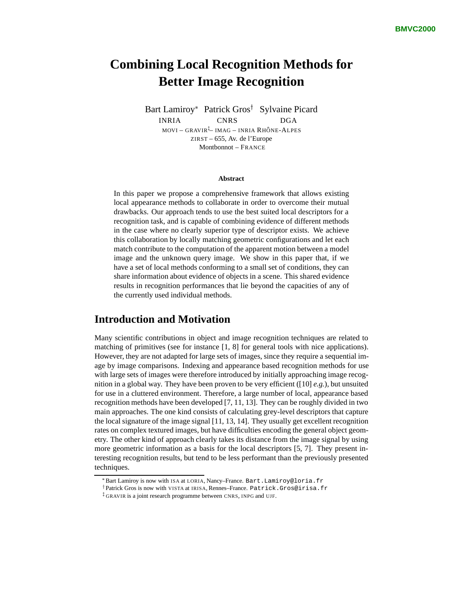## **Combining Local Recognition Methods for Better Image Recognition**

Bart Lamiroy\* Patrick Gros<sup>†</sup> Sylvaine Picard INRIA CNRS DGA movi – gravir<sup>į</sup>– imag – inria Rhône-Alpes ZIRST – 655, Av. de l'Europe Montbonnot – FRANCE

#### **Abstract**

In this paper we propose a comprehensive framework that allows existing local appearance methods to collaborate in order to overcome their mutual drawbacks. Our approach tends to use the best suited local descriptors for a recognition task, and is capable of combining evidence of different methods in the case where no clearly superior type of descriptor exists. We achieve this collaboration by locally matching geometric configurations and let each match contribute to the computation of the apparent motion between a model image and the unknown query image. We show in this paper that, if we have a set of local methods conforming to a small set of conditions, they can share information about evidence of objects in a scene. This shared evidence results in recognition performances that lie beyond the capacities of any of the currently used individual methods.

## **Introduction and Motivation**

Many scientific contributions in object and image recognition techniques are related to matching of primitives (see for instance [1, 8] for general tools with nice applications). However, they are not adapted for large sets of images, since they require a sequential image by image comparisons. Indexing and appearance based recognition methods for use with large sets of images were therefore introduced by initially approaching image recognition in a global way. They have been proven to be very efficient ([10] *e.g.*), but unsuited for use in a cluttered environment. Therefore, a large number of local, appearance based recognition methods have been developed [7, 11, 13]. They can be roughly divided in two main approaches. The one kind consists of calculating grey-level descriptors that capture the local signature of the image signal [11, 13, 14]. They usually get excellent recognition rates on complex textured images, but have difficulties encoding the general object geometry. The other kind of approach clearly takes its distance from the image signal by using more geometric information as a basis for the local descriptors [5, 7]. They present interesting recognition results, but tend to be less performant than the previously presented techniques.

 $*$ Bart Lamiroy is now with ISA at LORIA,  $\text{Nancy}$ –France. Bart.Lamiroy@loria.fr

<sup>†</sup>Patrick Gros is now with VISTA at IRISA, Rennes–France. Patrick.Gros@irisa.fr

<sup>z</sup> GRAVIR is a joint research programme between CNRS, INPG and UJF.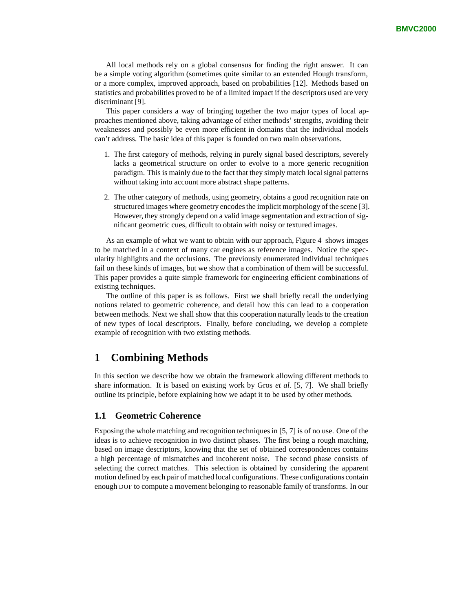All local methods rely on a global consensus for finding the right answer. It can be a simple voting algorithm (sometimes quite similar to an extended Hough transform, or a more complex, improved approach, based on probabilities [12]. Methods based on statistics and probabilities proved to be of a limited impact if the descriptors used are very discriminant [9].

This paper considers a way of bringing together the two major types of local approaches mentioned above, taking advantage of either methods' strengths, avoiding their weaknesses and possibly be even more efficient in domains that the individual models can't address. The basic idea of this paper is founded on two main observations.

- 1. The first category of methods, relying in purely signal based descriptors, severely lacks a geometrical structure on order to evolve to a more generic recognition paradigm. This is mainly due to the fact that they simply match local signal patterns without taking into account more abstract shape patterns.
- 2. The other category of methods, using geometry, obtains a good recognition rate on structured images where geometry encodes the implicit morphology of the scene [3]. However, they strongly depend on a valid image segmentation and extraction of significant geometric cues, difficult to obtain with noisy or textured images.

As an example of what we want to obtain with our approach, Figure 4 shows images to be matched in a context of many car engines as reference images. Notice the specularity highlights and the occlusions. The previously enumerated individual techniques fail on these kinds of images, but we show that a combination of them will be successful. This paper provides a quite simple framework for engineering efficient combinations of existing techniques.

The outline of this paper is as follows. First we shall briefly recall the underlying notions related to geometric coherence, and detail how this can lead to a cooperation between methods. Next we shall show that this cooperation naturally leads to the creation of new types of local descriptors. Finally, before concluding, we develop a complete example of recognition with two existing methods.

## **1 Combining Methods**

In this section we describe how we obtain the framework allowing different methods to share information. It is based on existing work by Gros *et al.* [5, 7]. We shall briefly outline its principle, before explaining how we adapt it to be used by other methods.

#### **1.1 Geometric Coherence**

Exposing the whole matching and recognition techniques in [5, 7] is of no use. One of the ideas is to achieve recognition in two distinct phases. The first being a rough matching, based on image descriptors, knowing that the set of obtained correspondences contains a high percentage of mismatches and incoherent noise. The second phase consists of selecting the correct matches. This selection is obtained by considering the apparent motion defined by each pair of matched local configurations. These configurations contain enough DOF to compute a movement belonging to reasonable family of transforms. In our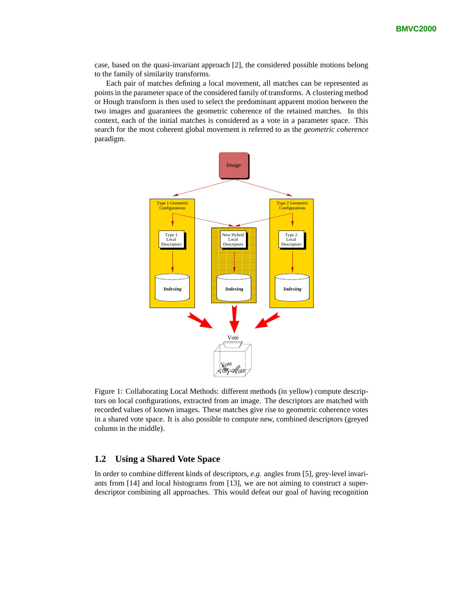case, based on the quasi-invariant approach [2], the considered possible motions belong to the family of similarity transforms.

Each pair of matches defining a local movement, all matches can be represented as points in the parameter space of the considered family of transforms. A clustering method or Hough transform is then used to select the predominant apparent motion between the two images and guarantees the geometric coherence of the retained matches. In this context, each of the initial matches is considered as a vote in a parameter space. This search for the most coherent global movement is referred to as the *geometric coherence* paradigm.



Figure 1: Collaborating Local Methods: different methods (in yellow) compute descriptors on local configurations, extracted from an image. The descriptors are matched with recorded values of known images. These matches give rise to geometric coherence votes in a shared vote space. It is also possible to compute new, combined descriptors (greyed column in the middle).

### **1.2 Using a Shared Vote Space**

In order to combine different kinds of descriptors, *e.g.* angles from [5], grey-level invariants from [14] and local histograms from [13], we are not aiming to construct a superdescriptor combining all approaches. This would defeat our goal of having recognition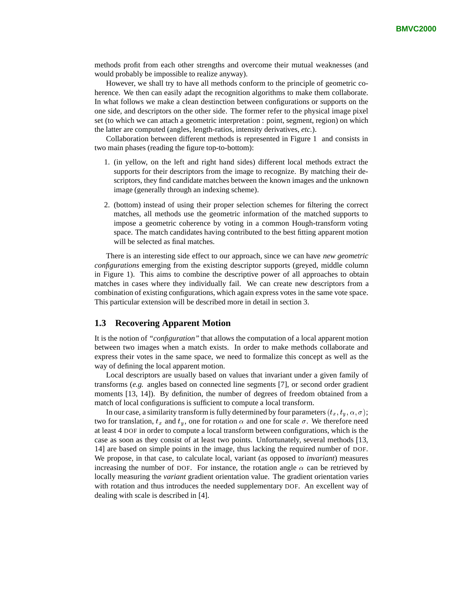methods profit from each other strengths and overcome their mutual weaknesses (and would probably be impossible to realize anyway).

However, we shall try to have all methods conform to the principle of geometric coherence. We then can easily adapt the recognition algorithms to make them collaborate. In what follows we make a clean destinction between configurations or supports on the one side, and descriptors on the other side. The former refer to the physical image pixel set (to which we can attach a geometric interpretation : point, segment, region) on which the latter are computed (angles, length-ratios, intensity derivatives, *etc.*).

Collaboration between different methods is represented in Figure 1 and consists in two main phases (reading the figure top-to-bottom):

- 1. (in yellow, on the left and right hand sides) different local methods extract the supports for their descriptors from the image to recognize. By matching their descriptors, they find candidate matches between the known images and the unknown image (generally through an indexing scheme).
- 2. (bottom) instead of using their proper selection schemes for filtering the correct matches, all methods use the geometric information of the matched supports to impose a geometric coherence by voting in a common Hough-transform voting space. The match candidates having contributed to the best fitting apparent motion will be selected as final matches.

There is an interesting side effect to our approach, since we can have *new geometric configurations* emerging from the existing descriptor supports (greyed, middle column in Figure 1). This aims to combine the descriptive power of all approaches to obtain matches in cases where they individually fail. We can create new descriptors from a combination of existing configurations, which again express votes in the same vote space. This particular extension will be described more in detail in section 3.

#### **1.3 Recovering Apparent Motion**

It is the notion of *"configuration"* that allows the computation of a local apparent motion between two images when a match exists. In order to make methods collaborate and express their votes in the same space, we need to formalize this concept as well as the way of defining the local apparent motion.

Local descriptors are usually based on values that invariant under a given family of transforms (*e.g.* angles based on connected line segments [7], or second order gradient moments [13, 14]). By definition, the number of degrees of freedom obtained from a match of local configurations is sufficient to compute a local transform.

In our case, a similarity transform is fully determined by four parameters  $(t_x, t_y, \alpha, \sigma)$ ; two for translation,  $t_x$  and  $t_y$ , one for rotation  $\alpha$  and one for scale  $\sigma$ . We therefore need at least 4 DOF in order to compute a local transform between configurations, which is the case as soon as they consist of at least two points. Unfortunately, several methods [13, 14] are based on simple points in the image, thus lacking the required number of DOF. We propose, in that case, to calculate local, variant (as opposed to *invariant*) measures increasing the number of DOF. For instance, the rotation angle  $\alpha$  can be retrieved by locally measuring the *variant* gradient orientation value. The gradient orientation varies with rotation and thus introduces the needed supplementary DOF. An excellent way of dealing with scale is described in [4].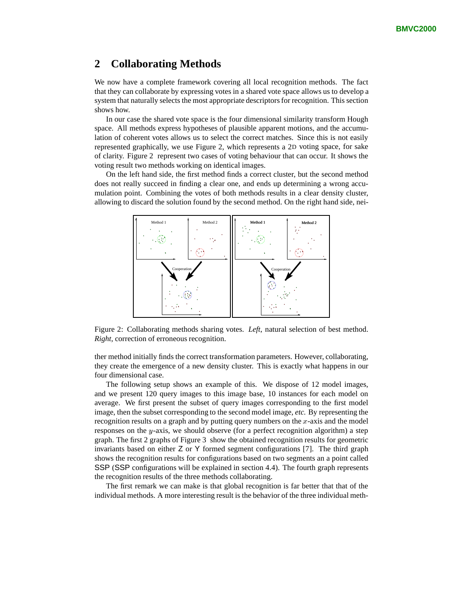## **2 Collaborating Methods**

We now have a complete framework covering all local recognition methods. The fact that they can collaborate by expressing votes in a shared vote space allows us to develop a system that naturally selects the most appropriate descriptors for recognition. This section shows how.

In our case the shared vote space is the four dimensional similarity transform Hough space. All methods express hypotheses of plausible apparent motions, and the accumulation of coherent votes allows us to select the correct matches. Since this is not easily represented graphically, we use Figure 2, which represents a 2D voting space, for sake of clarity. Figure 2 represent two cases of voting behaviour that can occur. It shows the voting result two methods working on identical images.

On the left hand side, the first method finds a correct cluster, but the second method does not really succeed in finding a clear one, and ends up determining a wrong accumulation point. Combining the votes of both methods results in a clear density cluster, allowing to discard the solution found by the second method. On the right hand side, nei-



Figure 2: Collaborating methods sharing votes. *Left*, natural selection of best method. *Right*, correction of erroneous recognition.

ther method initially finds the correct transformation parameters. However, collaborating, they create the emergence of a new density cluster. This is exactly what happens in our four dimensional case.

The following setup shows an example of this. We dispose of 12 model images, and we present 120 query images to this image base, 10 instances for each model on average. We first present the subset of query images corresponding to the first model image, then the subset corresponding to the second model image, *etc.* By representing the recognition results on a graph and by putting query numbers on the  $x$ -axis and the model responses on the  $y$ -axis, we should observe (for a perfect recognition algorithm) a step graph. The first 2 graphs of Figure 3 show the obtained recognition results for geometric invariants based on either Z or Y formed segment configurations [7]. The third graph shows the recognition results for configurations based on two segments an a point called SSP (SSP configurations will be explained in section 4.4). The fourth graph represents the recognition results of the three methods collaborating.

The first remark we can make is that global recognition is far better that that of the individual methods. A more interesting result is the behavior of the three individual meth-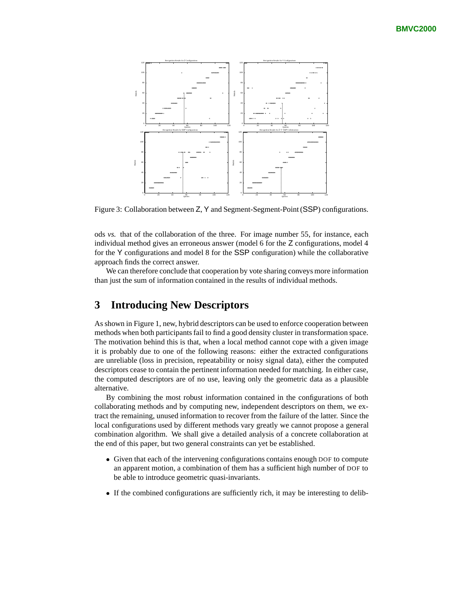

Figure 3: Collaboration between Z, Y and Segment-Segment-Point (SSP) configurations.

ods *vs.* that of the collaboration of the three. For image number 55, for instance, each individual method gives an erroneous answer (model 6 for the Z configurations, model 4 for the Y configurations and model 8 for the SSP configuration) while the collaborative approach finds the correct answer.

We can therefore conclude that cooperation by vote sharing conveys more information than just the sum of information contained in the results of individual methods.

## **3 Introducing New Descriptors**

As shown in Figure 1, new, hybrid descriptors can be used to enforce cooperation between methods when both participants fail to find a good density cluster in transformation space. The motivation behind this is that, when a local method cannot cope with a given image it is probably due to one of the following reasons: either the extracted configurations are unreliable (loss in precision, repeatability or noisy signal data), either the computed descriptors cease to contain the pertinent information needed for matching. In either case, the computed descriptors are of no use, leaving only the geometric data as a plausible alternative.

By combining the most robust information contained in the configurations of both collaborating methods and by computing new, independent descriptors on them, we extract the remaining, unused information to recover from the failure of the latter. Since the local configurations used by different methods vary greatly we cannot propose a general combination algorithm. We shall give a detailed analysis of a concrete collaboration at the end of this paper, but two general constraints can yet be established.

- Given that each of the intervening configurations contains enough DOF to compute an apparent motion, a combination of them has a sufficient high number of DOF to be able to introduce geometric quasi-invariants.
- If the combined configurations are sufficiently rich, it may be interesting to delib-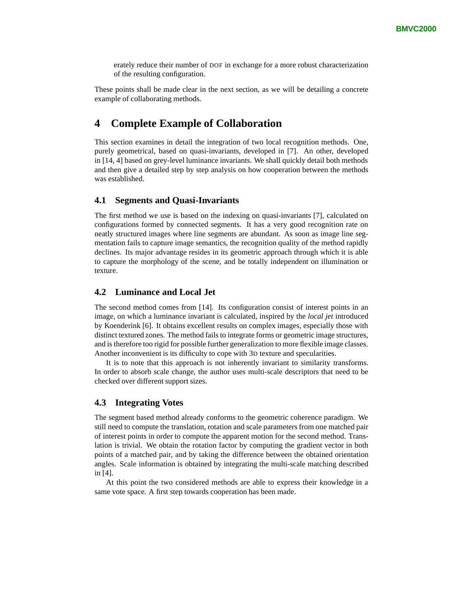erately reduce their number of DOF in exchange for a more robust characterization of the resulting configuration.

These points shall be made clear in the next section, as we will be detailing a concrete example of collaborating methods.

## **4 Complete Example of Collaboration**

This section examines in detail the integration of two local recognition methods. One, purely geometrical, based on quasi-invariants, developed in [7]. An other, developed in [14, 4] based on grey-level luminance invariants. We shall quickly detail both methods and then give a detailed step by step analysis on how cooperation between the methods was established.

#### **4.1 Segments and Quasi-Invariants**

The first method we use is based on the indexing on quasi-invariants [7], calculated on configurations formed by connected segments. It has a very good recognition rate on neatly structured images where line segments are abundant. As soon as image line segmentation fails to capture image semantics, the recognition quality of the method rapidly declines. Its major advantage resides in its geometric approach through which it is able to capture the morphology of the scene, and be totally independent on illumination or texture.

### **4.2 Luminance and Local Jet**

The second method comes from [14]. Its configuration consist of interest points in an image, on which a luminance invariant is calculated, inspired by the *local jet* introduced by Koenderink [6]. It obtains excellent results on complex images, especially those with distinct textured zones. The method fails to integrate forms or geometric image structures, and is therefore too rigid for possible further generalization to more flexible image classes. Another inconvenient is its difficulty to cope with 3D texture and specularities.

It is to note that this approach is not inherently invariant to similarity transforms. In order to absorb scale change, the author uses multi-scale descriptors that need to be checked over different support sizes.

#### **4.3 Integrating Votes**

The segment based method already conforms to the geometric coherence paradigm. We still need to compute the translation, rotation and scale parameters from one matched pair of interest points in order to compute the apparent motion for the second method. Translation is trivial. We obtain the rotation factor by computing the gradient vector in both points of a matched pair, and by taking the difference between the obtained orientation angles. Scale information is obtained by integrating the multi-scale matching described in [4].

At this point the two considered methods are able to express their knowledge in a same vote space. A first step towards cooperation has been made.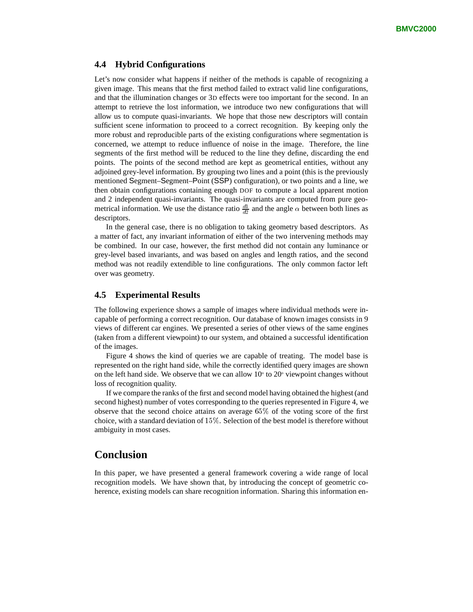#### **4.4 Hybrid Configurations**

Let's now consider what happens if neither of the methods is capable of recognizing a given image. This means that the first method failed to extract valid line configurations, and that the illumination changes or 3D effects were too important for the second. In an attempt to retrieve the lost information, we introduce two new configurations that will allow us to compute quasi-invariants. We hope that those new descriptors will contain sufficient scene information to proceed to a correct recognition. By keeping only the more robust and reproducible parts of the existing configurations where segmentation is concerned, we attempt to reduce influence of noise in the image. Therefore, the line segments of the first method will be reduced to the line they define, discarding the end points. The points of the second method are kept as geometrical entities, without any adjoined grey-level information. By grouping two lines and a point (this is the previously mentioned Segment–Segment–Point (SSP) configuration), or two points and a line, we then obtain configurations containing enough DOF to compute a local apparent motion and 2 independent quasi-invariants. The quasi-invariants are computed from pure geometrical information. We use the distance ratio  $\frac{d1}{d2}$  and the angle  $\alpha$  between both lines as descriptors.

In the general case, there is no obligation to taking geometry based descriptors. As a matter of fact, any invariant information of either of the two intervening methods may be combined. In our case, however, the first method did not contain any luminance or grey-level based invariants, and was based on angles and length ratios, and the second method was not readily extendible to line configurations. The only common factor left over was geometry.

#### **4.5 Experimental Results**

The following experience shows a sample of images where individual methods were incapable of performing a correct recognition. Our database of known images consists in 9 views of different car engines. We presented a series of other views of the same engines (taken from a different viewpoint) to our system, and obtained a successful identification of the images.

Figure 4 shows the kind of queries we are capable of treating. The model base is represented on the right hand side, while the correctly identified query images are shown on the left hand side. We observe that we can allow  $10^{\circ}$  to  $20^{\circ}$  viewpoint changes without loss of recognition quality.

If we compare the ranks of the first and second model having obtained the highest (and second highest) number of votes corresponding to the queries represented in Figure 4, we observe that the second choice attains on average  $65\%$  of the voting score of the first choice, with a standard deviation of 15%. Selection of the best model is therefore without ambiguity in most cases.

## **Conclusion**

In this paper, we have presented a general framework covering a wide range of local recognition models. We have shown that, by introducing the concept of geometric coherence, existing models can share recognition information. Sharing this information en-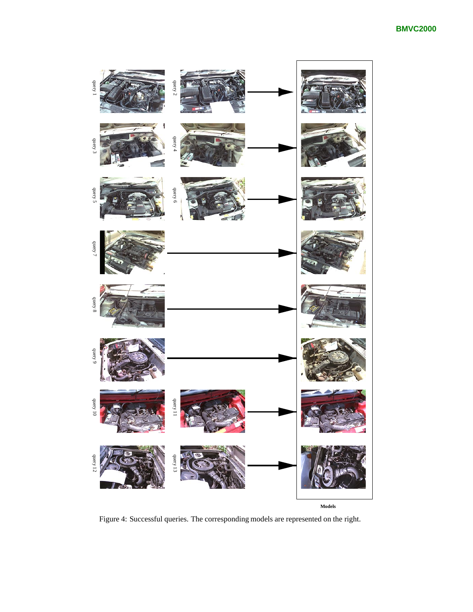

Figure 4: Successful queries. The corresponding models are represented on the right.